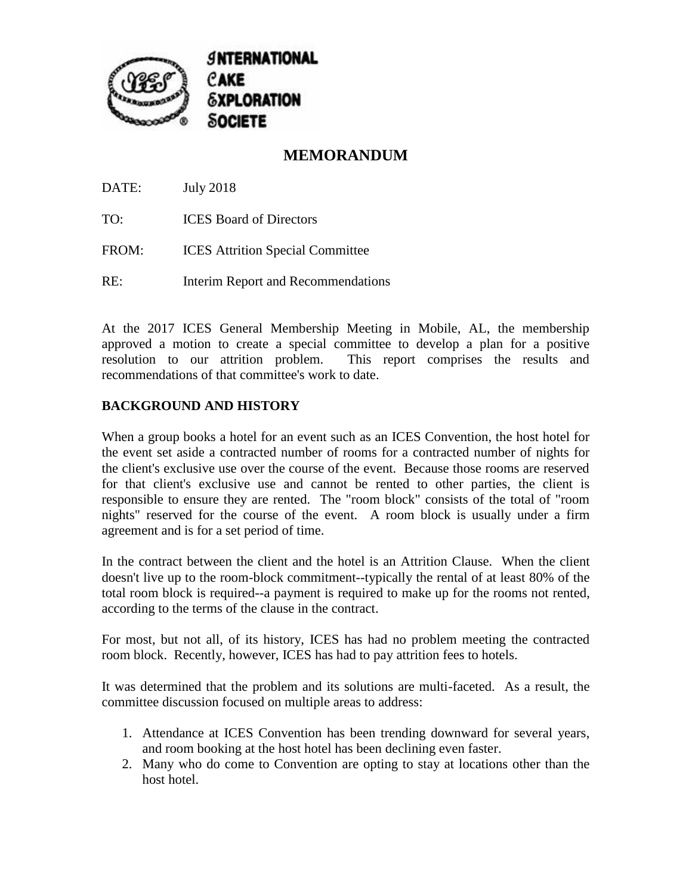

## **MEMORANDUM**

DATE: July 2018

TO: ICES Board of Directors

- FROM: **ICES** Attrition Special Committee
- RE: Interim Report and Recommendations

At the 2017 ICES General Membership Meeting in Mobile, AL, the membership approved a motion to create a special committee to develop a plan for a positive resolution to our attrition problem. This report comprises the results and recommendations of that committee's work to date.

## **BACKGROUND AND HISTORY**

When a group books a hotel for an event such as an ICES Convention, the host hotel for the event set aside a contracted number of rooms for a contracted number of nights for the client's exclusive use over the course of the event. Because those rooms are reserved for that client's exclusive use and cannot be rented to other parties, the client is responsible to ensure they are rented. The "room block" consists of the total of "room nights" reserved for the course of the event. A room block is usually under a firm agreement and is for a set period of time.

In the contract between the client and the hotel is an Attrition Clause. When the client doesn't live up to the room-block commitment--typically the rental of at least 80% of the total room block is required--a payment is required to make up for the rooms not rented, according to the terms of the clause in the contract.

For most, but not all, of its history, ICES has had no problem meeting the contracted room block. Recently, however, ICES has had to pay attrition fees to hotels.

It was determined that the problem and its solutions are multi-faceted. As a result, the committee discussion focused on multiple areas to address:

- 1. Attendance at ICES Convention has been trending downward for several years, and room booking at the host hotel has been declining even faster.
- 2. Many who do come to Convention are opting to stay at locations other than the host hotel.